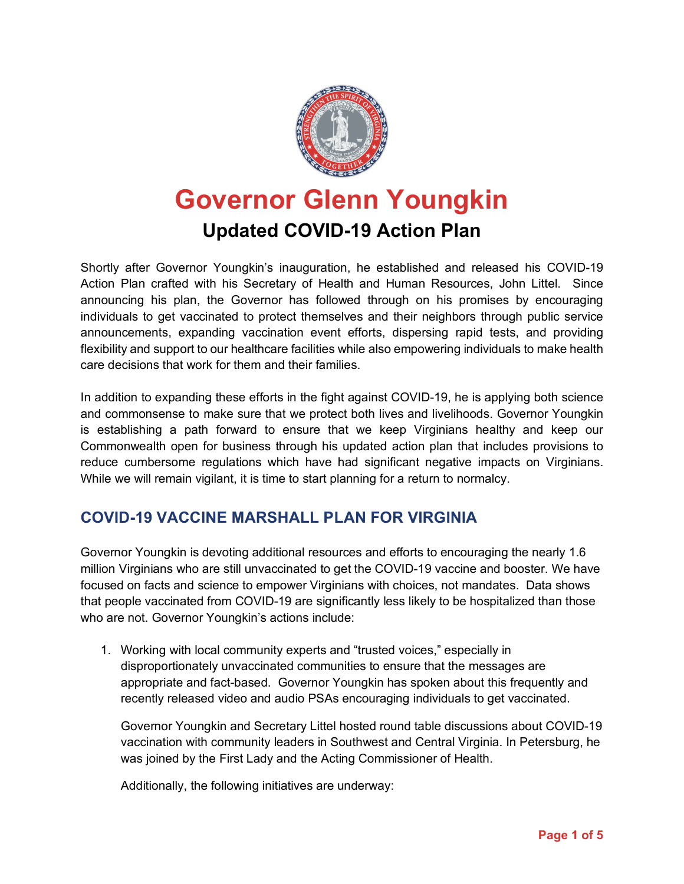

## **Governor Glenn Youngkin Updated COVID-19 Action Plan**

Shortly after Governor Youngkin's inauguration, he established and released his COVID-19 Action Plan crafted with his Secretary of Health and Human Resources, John Littel. Since announcing his plan, the Governor has followed through on his promises by encouraging individuals to get vaccinated to protect themselves and their neighbors through public service announcements, expanding vaccination event efforts, dispersing rapid tests, and providing flexibility and support to our healthcare facilities while also empowering individuals to make health care decisions that work for them and their families.

In addition to expanding these efforts in the fight against COVID-19, he is applying both science and commonsense to make sure that we protect both lives and livelihoods. Governor Youngkin is establishing a path forward to ensure that we keep Virginians healthy and keep our Commonwealth open for business through his updated action plan that includes provisions to reduce cumbersome regulations which have had significant negative impacts on Virginians. While we will remain vigilant, it is time to start planning for a return to normalcy.

## **COVID-19 VACCINE MARSHALL PLAN FOR VIRGINIA**

Governor Youngkin is devoting additional resources and efforts to encouraging the nearly 1.6 million Virginians who are still unvaccinated to get the COVID-19 vaccine and booster. We have focused on facts and science to empower Virginians with choices, not mandates. Data shows that people vaccinated from COVID-19 are significantly less likely to be hospitalized than those who are not. Governor Youngkin's actions include:

1. Working with local community experts and "trusted voices," especially in disproportionately unvaccinated communities to ensure that the messages are appropriate and fact-based. Governor Youngkin has spoken about this frequently and recently released video and audio PSAs encouraging individuals to get vaccinated.

Governor Youngkin and Secretary Littel hosted round table discussions about COVID-19 vaccination with community leaders in Southwest and Central Virginia. In Petersburg, he was joined by the First Lady and the Acting Commissioner of Health.

Additionally, the following initiatives are underway: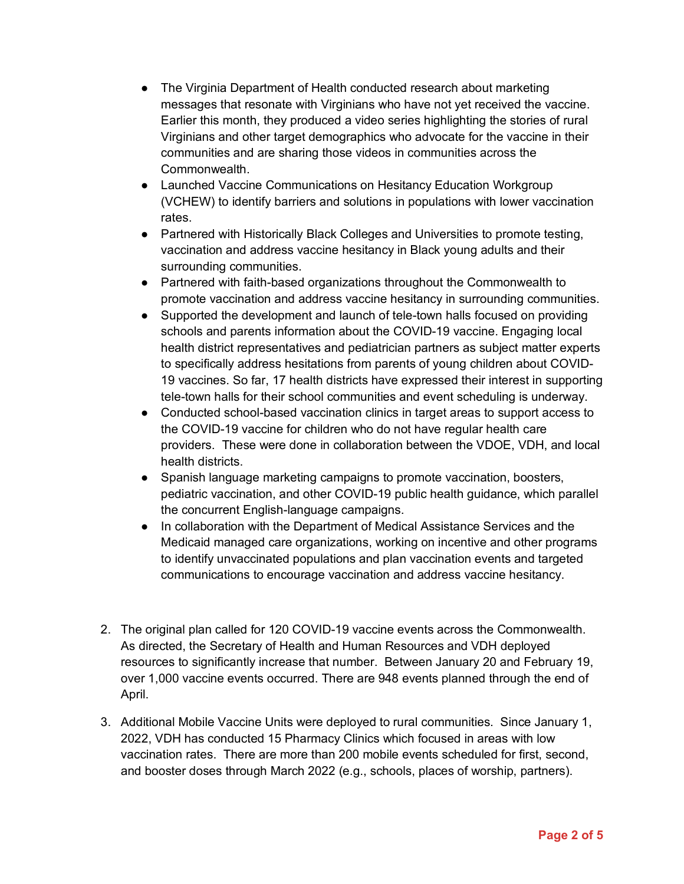- The Virginia Department of Health conducted research about marketing messages that resonate with Virginians who have not yet received the vaccine. Earlier this month, they produced a video series highlighting the stories of rural Virginians and other target demographics who advocate for the vaccine in their communities and are sharing those videos in communities across the Commonwealth.
- Launched Vaccine Communications on Hesitancy Education Workgroup (VCHEW) to identify barriers and solutions in populations with lower vaccination rates.
- Partnered with Historically Black Colleges and Universities to promote testing, vaccination and address vaccine hesitancy in Black young adults and their surrounding communities.
- Partnered with faith-based organizations throughout the Commonwealth to promote vaccination and address vaccine hesitancy in surrounding communities.
- Supported the development and launch of tele-town halls focused on providing schools and parents information about the COVID-19 vaccine. Engaging local health district representatives and pediatrician partners as subject matter experts to specifically address hesitations from parents of young children about COVID-19 vaccines. So far, 17 health districts have expressed their interest in supporting tele-town halls for their school communities and event scheduling is underway.
- Conducted school-based vaccination clinics in target areas to support access to the COVID-19 vaccine for children who do not have regular health care providers. These were done in collaboration between the VDOE, VDH, and local health districts.
- Spanish language marketing campaigns to promote vaccination, boosters, pediatric vaccination, and other COVID-19 public health guidance, which parallel the concurrent English-language campaigns.
- In collaboration with the Department of Medical Assistance Services and the Medicaid managed care organizations, working on incentive and other programs to identify unvaccinated populations and plan vaccination events and targeted communications to encourage vaccination and address vaccine hesitancy.
- 2. The original plan called for 120 COVID-19 vaccine events across the Commonwealth. As directed, the Secretary of Health and Human Resources and VDH deployed resources to significantly increase that number. Between January 20 and February 19, over 1,000 vaccine events occurred. There are 948 events planned through the end of April.
- 3. Additional Mobile Vaccine Units were deployed to rural communities. Since January 1, 2022, VDH has conducted 15 Pharmacy Clinics which focused in areas with low vaccination rates. There are more than 200 mobile events scheduled for first, second, and booster doses through March 2022 (e.g., schools, places of worship, partners).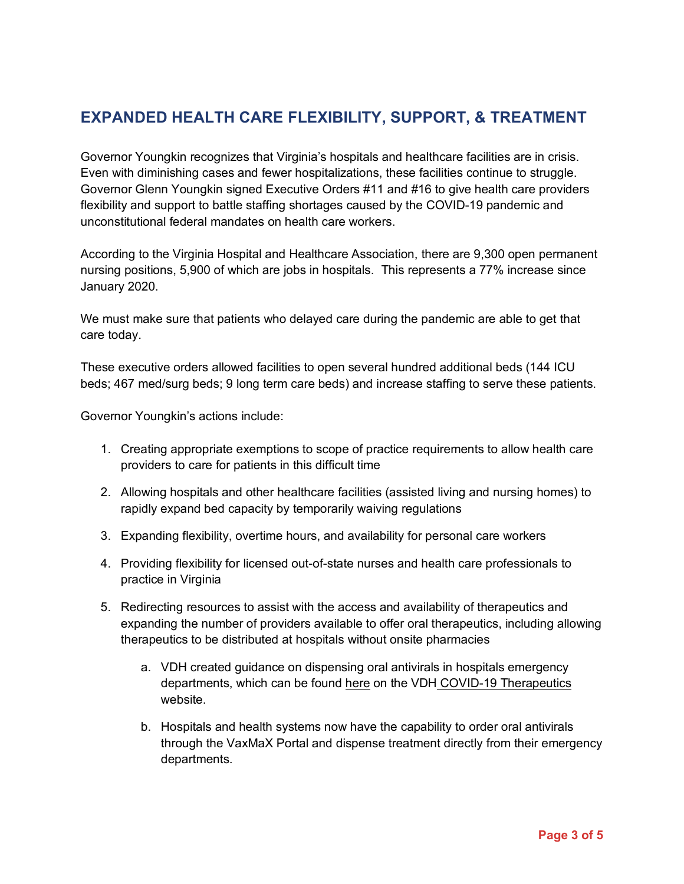## **EXPANDED HEALTH CARE FLEXIBILITY, SUPPORT, & TREATMENT**

Governor Youngkin recognizes that Virginia's hospitals and healthcare facilities are in crisis. Even with diminishing cases and fewer hospitalizations, these facilities continue to struggle. Governor Glenn Youngkin signed Executive Orders #11 and #16 to give health care providers flexibility and support to battle staffing shortages caused by the COVID-19 pandemic and unconstitutional federal mandates on health care workers.

According to the Virginia Hospital and Healthcare Association, there are 9,300 open permanent nursing positions, 5,900 of which are jobs in hospitals. This represents a 77% increase since January 2020.

We must make sure that patients who delayed care during the pandemic are able to get that care today.

These executive orders allowed facilities to open several hundred additional beds (144 ICU beds; 467 med/surg beds; 9 long term care beds) and increase staffing to serve these patients.

Governor Youngkin's actions include:

- 1. Creating appropriate exemptions to scope of practice requirements to allow health care providers to care for patients in this difficult time
- 2. Allowing hospitals and other healthcare facilities (assisted living and nursing homes) to rapidly expand bed capacity by temporarily waiving regulations
- 3. Expanding flexibility, overtime hours, and availability for personal care workers
- 4. Providing flexibility for licensed out-of-state nurses and health care professionals to practice in Virginia
- 5. Redirecting resources to assist with the access and availability of therapeutics and expanding the number of providers available to offer oral therapeutics, including allowing therapeutics to be distributed at hospitals without onsite pharmacies
	- a. VDH created guidance on dispensing oral antivirals in hospitals emergency departments, which can be found here on the VDH COVID-19 Therapeutics website.
	- b. Hospitals and health systems now have the capability to order oral antivirals through the VaxMaX Portal and dispense treatment directly from their emergency departments.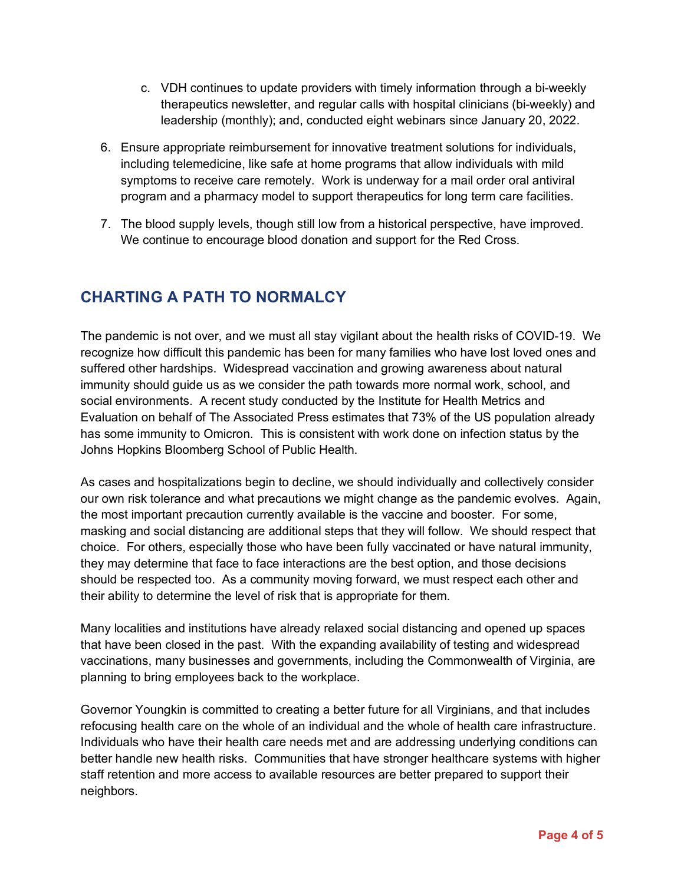- c. VDH continues to update providers with timely information through a bi-weekly therapeutics newsletter, and regular calls with hospital clinicians (bi-weekly) and leadership (monthly); and, conducted eight webinars since January 20, 2022.
- 6. Ensure appropriate reimbursement for innovative treatment solutions for individuals, including telemedicine, like safe at home programs that allow individuals with mild symptoms to receive care remotely. Work is underway for a mail order oral antiviral program and a pharmacy model to support therapeutics for long term care facilities.
- 7. The blood supply levels, though still low from a historical perspective, have improved. We continue to encourage blood donation and support for the Red Cross.

## **CHARTING A PATH TO NORMALCY**

The pandemic is not over, and we must all stay vigilant about the health risks of COVID-19. We recognize how difficult this pandemic has been for many families who have lost loved ones and suffered other hardships. Widespread vaccination and growing awareness about natural immunity should guide us as we consider the path towards more normal work, school, and social environments. A recent study conducted by the Institute for Health Metrics and Evaluation on behalf of The Associated Press estimates that 73% of the US population already has some immunity to Omicron. This is consistent with work done on infection status by the Johns Hopkins Bloomberg School of Public Health.

As cases and hospitalizations begin to decline, we should individually and collectively consider our own risk tolerance and what precautions we might change as the pandemic evolves. Again, the most important precaution currently available is the vaccine and booster. For some, masking and social distancing are additional steps that they will follow. We should respect that choice. For others, especially those who have been fully vaccinated or have natural immunity, they may determine that face to face interactions are the best option, and those decisions should be respected too. As a community moving forward, we must respect each other and their ability to determine the level of risk that is appropriate for them.

Many localities and institutions have already relaxed social distancing and opened up spaces that have been closed in the past. With the expanding availability of testing and widespread vaccinations, many businesses and governments, including the Commonwealth of Virginia, are planning to bring employees back to the workplace.

Governor Youngkin is committed to creating a better future for all Virginians, and that includes refocusing health care on the whole of an individual and the whole of health care infrastructure. Individuals who have their health care needs met and are addressing underlying conditions can better handle new health risks. Communities that have stronger healthcare systems with higher staff retention and more access to available resources are better prepared to support their neighbors.